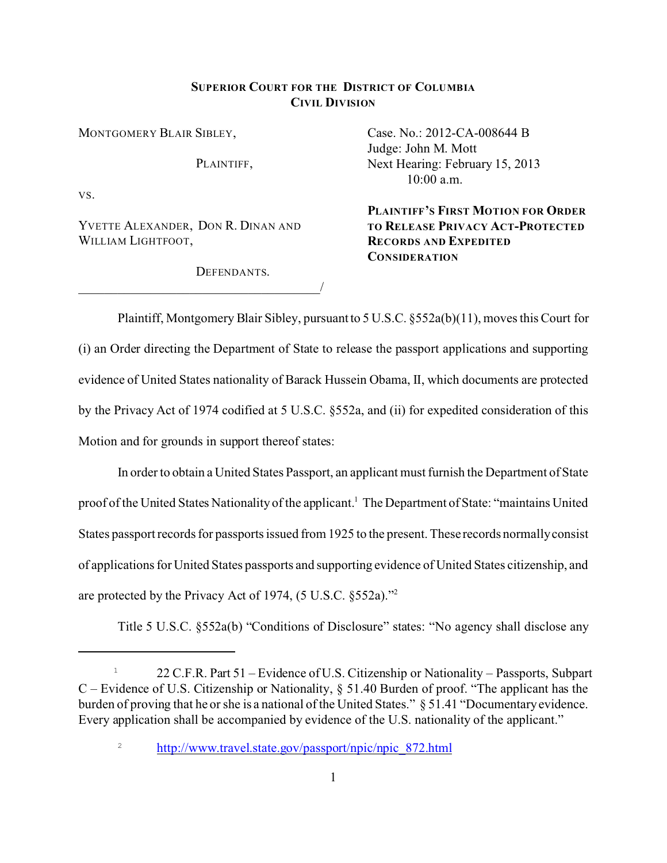## **SUPERIOR COURT FOR THE DISTRICT OF COLUMBIA CIVIL DIVISION**

MONTGOMERY BLAIR SIBLEY,

PLAINTIFF.

VS.

YVETTE ALEXANDER, DON R. DINAN AND WILLIAM LIGHTFOOT,

\_\_\_\_\_\_\_\_\_\_\_\_\_\_\_\_\_\_\_\_\_\_\_\_\_\_\_\_\_\_\_\_\_\_\_\_\_/

DEFENDANTS.

Case. No.: 2012-CA-008644 B Judge: John M. Mott Next Hearing: February 15, 2013 10:00 a.m.

**PLAINTIFF'S FIRST MOTION FOR ORDER TO RELEASE PRIVACY ACT-PROTECTED RECORDS AND EXPEDITED CONSIDERATION**

Plaintiff, Montgomery Blair Sibley, pursuant to 5 U.S.C. §552a(b)(11), moves this Court for (i) an Order directing the Department of State to release the passport applications and supporting evidence of United States nationality of Barack Hussein Obama, II, which documents are protected by the Privacy Act of 1974 codified at 5 U.S.C. §552a, and (ii) for expedited consideration of this Motion and for grounds in support thereof states:

In order to obtain a United States Passport, an applicant must furnish the Department of State proof of the United States Nationality of the applicant.<sup>1</sup> The Department of State: "maintains United States passport records for passports issued from 1925 to the present. These records normally consist of applications for United States passports and supporting evidence of United States citizenship, and are protected by the Privacy Act of 1974, (5 U.S.C. §552a)."<sup>2</sup>

Title 5 U.S.C. §552a(b) "Conditions of Disclosure" states: "No agency shall disclose any

<sup>&</sup>lt;sup>1</sup> 22 C.F.R. Part 51 – Evidence of U.S. Citizenship or Nationality – Passports, Subpart C – Evidence of U.S. Citizenship or Nationality, § 51.40 Burden of proof. "The applicant has the burden of proving that he or she is a national of the United States." § 51.41 "Documentary evidence. Every application shall be accompanied by evidence of the U.S. nationality of the applicant."

<sup>&</sup>lt;sup>2</sup> [http://www.travel.state.gov/passport/npic/npic\\_872.html](http://www.travel.state.gov/passport/npic/npic_872.html)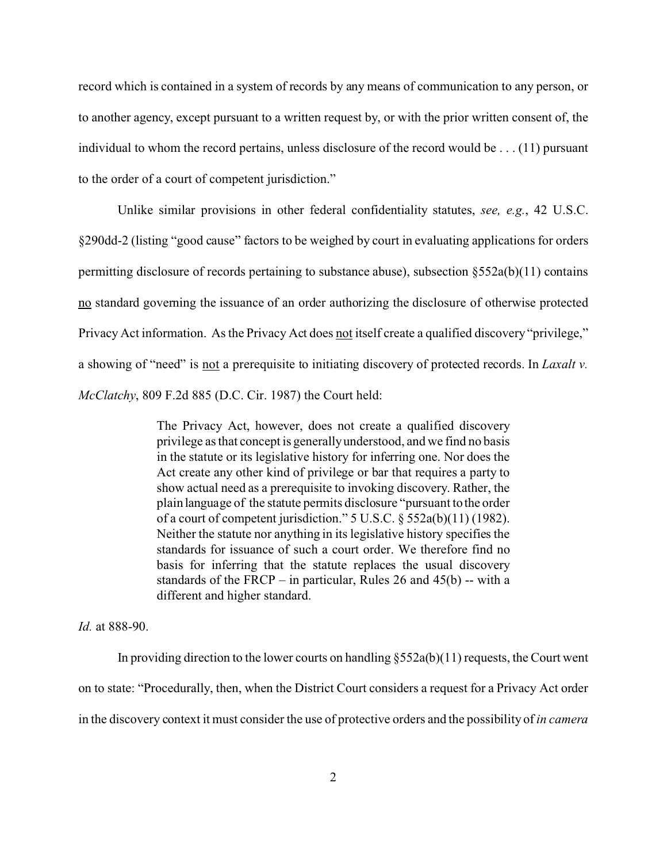record which is contained in a system of records by any means of communication to any person, or to another agency, except pursuant to a written request by, or with the prior written consent of, the individual to whom the record pertains, unless disclosure of the record would be . . . (11) pursuant to the order of a court of competent jurisdiction."

Unlike similar provisions in other federal confidentiality statutes, *see, e.g.*, 42 U.S.C. §290dd-2 (listing "good cause" factors to be weighed by court in evaluating applications for orders permitting disclosure of records pertaining to substance abuse), subsection  $\S 552a(b)(11)$  contains no standard governing the issuance of an order authorizing the disclosure of otherwise protected Privacy Act information. As the Privacy Act does not itself create a qualified discovery "privilege," a showing of "need" is not a prerequisite to initiating discovery of protected records. In *Laxalt v. McClatchy*, 809 F.2d 885 (D.C. Cir. 1987) the Court held:

> The Privacy Act, however, does not create a qualified discovery privilege as that concept is generally understood, and we find no basis in the statute or its legislative history for inferring one. Nor does the Act create any other kind of privilege or bar that requires a party to show actual need as a prerequisite to invoking discovery. Rather, the plain language of the statute permits disclosure "pursuant to the order of a court of competent jurisdiction." 5 U.S.C. § 552a(b)(11) (1982). Neither the statute nor anything in its legislative history specifies the standards for issuance of such a court order. We therefore find no basis for inferring that the statute replaces the usual discovery standards of the FRCP – in particular, Rules 26 and  $45(b)$  -- with a different and higher standard.

*Id.* at 888-90.

In providing direction to the lower courts on handling  $\S 552a(b)(11)$  requests, the Court went on to state: "Procedurally, then, when the District Court considers a request for a Privacy Act order in the discovery context it must consider the use of protective orders and the possibility of *in camera*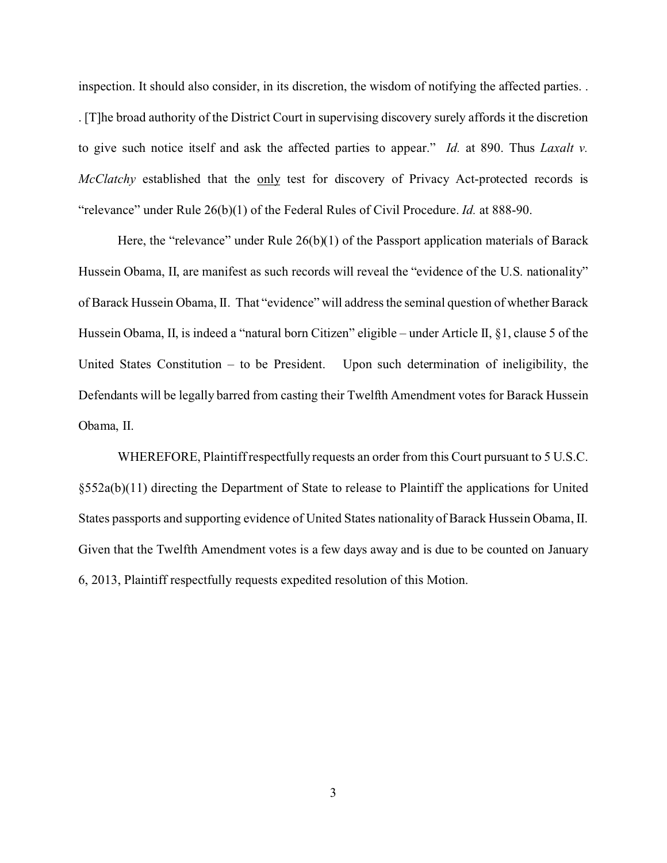inspection. It should also consider, in its discretion, the wisdom of notifying the affected parties. . . [T]he broad authority of the District Court in supervising discovery surely affords it the discretion to give such notice itself and ask the affected parties to appear." *Id.* at 890. Thus *Laxalt v. McClatchy* established that the only test for discovery of Privacy Act-protected records is "relevance" under Rule 26(b)(1) of the Federal Rules of Civil Procedure. *Id.* at 888-90.

Here, the "relevance" under Rule 26(b)(1) of the Passport application materials of Barack Hussein Obama, II, are manifest as such records will reveal the "evidence of the U.S. nationality" of Barack Hussein Obama, II. That "evidence" will address the seminal question of whether Barack Hussein Obama, II, is indeed a "natural born Citizen" eligible – under Article II, §1, clause 5 of the United States Constitution – to be President. Upon such determination of ineligibility, the Defendants will be legally barred from casting their Twelfth Amendment votes for Barack Hussein Obama, II.

WHEREFORE, Plaintiff respectfully requests an order from this Court pursuant to 5 U.S.C. §552a(b)(11) directing the Department of State to release to Plaintiff the applications for United States passports and supporting evidence of United States nationality of Barack Hussein Obama, II. Given that the Twelfth Amendment votes is a few days away and is due to be counted on January 6, 2013, Plaintiff respectfully requests expedited resolution of this Motion.

3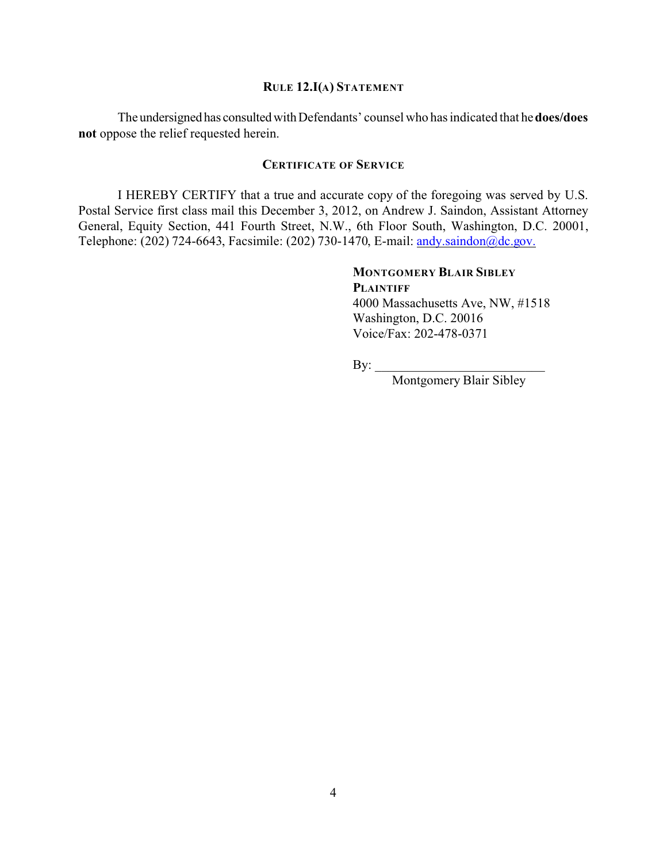### **RULE 12.I(A) STATEMENT**

The undersignedhas consultedwithDefendants' counsel who has indicated that he **does/does not** oppose the relief requested herein.

#### **CERTIFICATE OF SERVICE**

I HEREBY CERTIFY that a true and accurate copy of the foregoing was served by U.S. Postal Service first class mail this December 3, 2012, on Andrew J. Saindon, Assistant Attorney General, Equity Section, 441 Fourth Street, N.W., 6th Floor South, Washington, D.C. 20001, Telephone: (202) 724-6643, Facsimile: (202) 730-1470, E-mail: [andy.saindon@dc.gov.](mailto:andy.saindon@dc.gov.)

# **MONTGOMERY BLAIR SIBLEY PLAINTIFF**

4000 Massachusetts Ave, NW, #1518 Washington, D.C. 20016 Voice/Fax: 202-478-0371

By: \_\_\_\_\_\_\_\_\_\_\_\_\_\_\_\_\_\_\_\_\_\_\_\_\_\_

Montgomery Blair Sibley